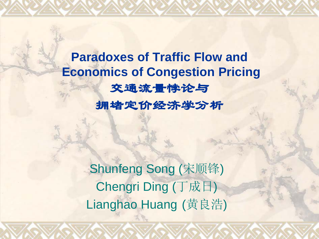**Paradoxes of Traffic Flow and Economics of Congestion Pricing** 交通流量悖论与 拥堵定价经济学分析

> **Shunfeng Song (宋顺锋)** Chengri Ding (丁成日) Lianghao Huang (黄良浩)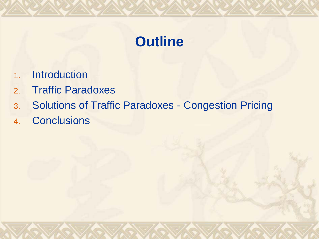## **Outline**

- 1. Introduction
- 2. Traffic Paradoxes
- 3. Solutions of Traffic Paradoxes Congestion Pricing
- 4. Conclusions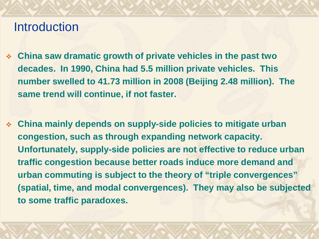### **Introduction**

- **China saw dramatic growth of private vehicles in the past two decades. In 1990, China had 5.5 million private vehicles. This number swelled to 41.73 million in 2008 (Beijing 2.48 million). The same trend will continue, if not faster.**
- **China mainly depends on supply-side policies to mitigate urban congestion, such as through expanding network capacity. Unfortunately, supply-side policies are not effective to reduce urban traffic congestion because better roads induce more demand and urban commuting is subject to the theory of "triple convergences" (spatial, time, and modal convergences). They may also be subjected to some traffic paradoxes.**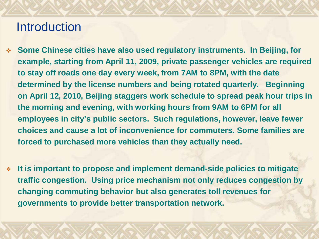## **Introduction**

- **Some Chinese cities have also used regulatory instruments. In Beijing, for example, starting from April 11, 2009, private passenger vehicles are required to stay off roads one day every week, from 7AM to 8PM, with the date determined by the license numbers and being rotated quarterly. Beginning on April 12, 2010, Beijing staggers work schedule to spread peak hour trips in the morning and evening, with working hours from 9AM to 6PM for all employees in city's public sectors. Such regulations, however, leave fewer choices and cause a lot of inconvenience for commuters. Some families are forced to purchased more vehicles than they actually need.**
- **It is important to propose and implement demand-side policies to mitigate traffic congestion. Using price mechanism not only reduces congestion by changing commuting behavior but also generates toll revenues for governments to provide better transportation network.**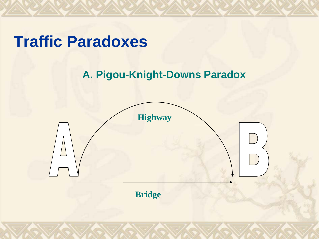

### **A. Pigou-Knight-Downs Paradox**



**Bridge**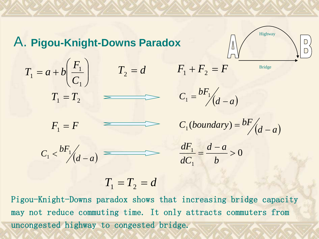#### A. **Pigou-Knight-Downs Paradox**

$$
T_1 = a + b \left( \frac{F_1}{C_1} \right)
$$
  $T_2 = d$   $F_1 + F_2 = F$   
 $T_1 = T_2$   $C_1 = \frac{bF_1}{d-a}$ 

$$
\begin{array}{c}\n\begin{array}{c}\n\begin{array}{c}\n\text{Highway} \\
\hline\n\end{array}\n\end{array}\n\end{array}
$$

 $F_1 + F_2 = F$ 





 $C_1 < \frac{bF_1}{d-a}$   $\implies$   $\frac{dF_1}{dC_1} = \frac{d-a}{b} > 0$ 

1  $\frac{1}{1} = \frac{d-a}{1}$ *b*  $d - a$ *dC dF*

$$
T_1 = T_2 = d
$$

Pigou-Knight-Downs paradox shows that increasing bridge capacity may not reduce commuting time. It only attracts commuters from uncongested highway to congested bridge.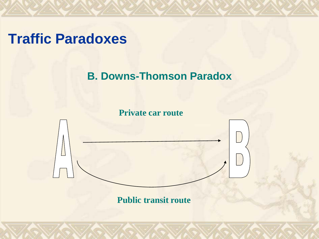## **Traffic Paradoxes**

#### **B. Downs-Thomson Paradox**

**Private car route**

**Public transit route**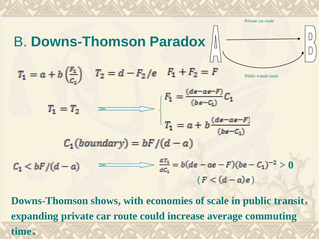Private car route



Public transit route



 $C_1(boundary) = bF/(d-a)$ 

**> 0**  $(F < (d-a)e)$ 

**Downs-Thomson shows, with economies of scale in public transit**, **expanding private car route could increase average commuting time**。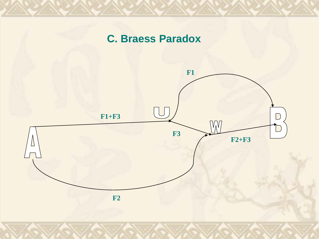#### **C. Braess Paradox**

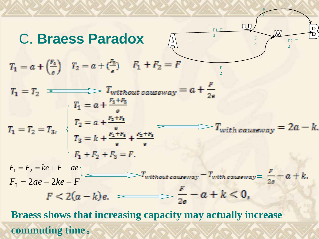

F

**commuting time**。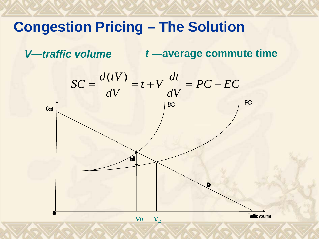## **Congestion Pricing – The Solution**

*V—traffic volume t* **—average commute time**

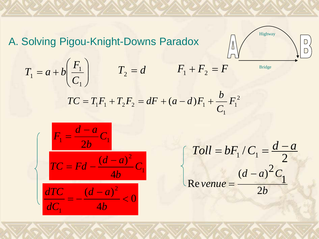A. Solving Pigou-Knight-Downs Paradox



$$
TC = T_1 F_1 + T_2 F_2 = dF + (a - d)F_1 + \frac{b}{C_1} F_1^2
$$



$$
\begin{cases}\nToll = bF_1 / C_1 = \frac{d-a}{2} \\
\text{Re} \text{ v}\text{e}^{i\theta} = \frac{(d-a)^2 C_1}{2b}\n\end{cases}
$$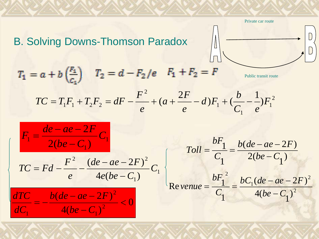B. Solving Downs-Thomson Paradox  
\n
$$
T_1 = a + b \left(\frac{F_1}{C_1}\right)
$$
  $T_2 = d - F_2/e$   $F_1 + F_2 = F$   
\n $TC = T_1F_1 + T_2F_2 = dF - \frac{F^2}{e} + (a + \frac{2F}{e} - d)F_1 + \left(\frac{b}{C_1} - \frac{1}{e}\right)F_1^2$   
\n $F_1 = \frac{de - ae - 2F}{2(be - C_1)}C_1$   
\n $TC = Fd - \frac{F^2}{e} - \frac{(de - ae - 2F)^2}{4e(be - C_1)}C_1$   
\n $TC = \frac{bF_1}{C_1} = \frac{b(de - ae - 2F)}{2(be - C_1)}$   
\n $\frac{dTC}{dC_1} = \frac{b(de - ae - 2F)^2}{4(be - C_1)^2} < 0$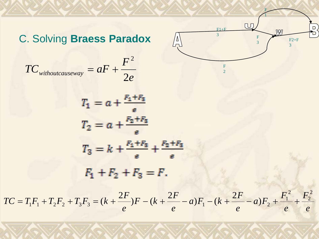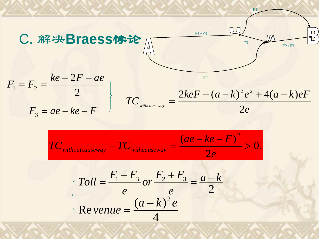